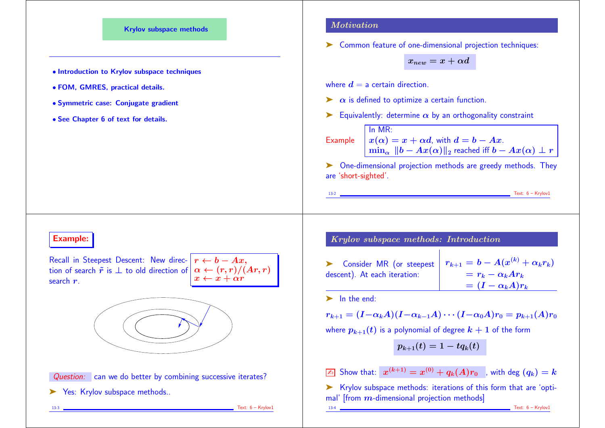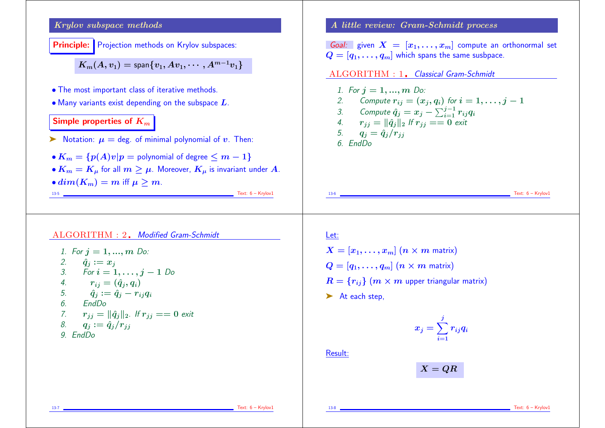

 $Text: 6 - Krylov1$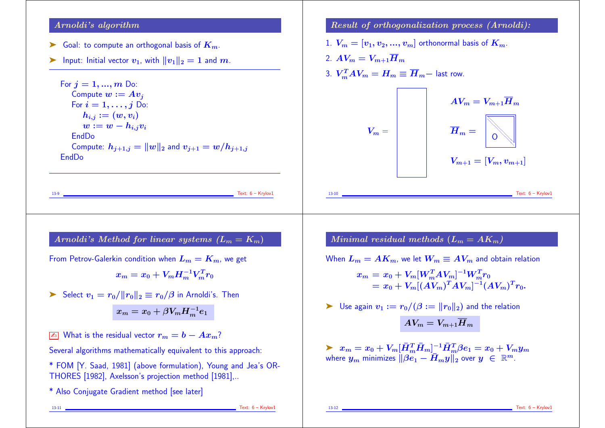## Arnoldi's algorithm

- $\blacktriangleright$  Goal: to compute an orthogonal basis of  $K_m$ .
- ightharpoonup Initial vector  $v_1$ , with  $||v_1||_2 = 1$  and  $m$ .

For  $i = 1, ..., m$  Do: Compute  $w := Av_i$ For  $i = 1, \ldots, j$  Do:  $h_{i,j} := (w, v_i)$  $w := w - h_{i,j}v_i$ EndDo Compute:  $h_{i+1,j} = ||w||_2$  and  $v_{i+1} = w/h_{i+1,j}$ EndDo

## Result of orthogonalization process (Arnoldi):

- 1.  $V_m = [v_1, v_2, ..., v_m]$  orthonormal basis of  $K_m$ .
- 2.  $AV_m = V_{m+1}\overline{H}_m$ 3.  $V_m^T A V_m = H_m \equiv \overline{H}_m$  - last row.



Arnoldi's Method for linear systems  $(L_m = K_m)$ 

From Petrov-Galerkin condition when  $L_m = K_m$ , we get

 $x_m = x_0 + V_m H_m^{-1} V_m^T r_0 \; ,$ 

► Select  $v_1 = r_0 / ||r_0||_2 \equiv r_0 / \beta$  in Arnoldi's. Then

$$
x_m=x_0+\beta V_m H_m^{-1}e_1
$$

 $\boxed{\mathbb{Z}_0}$  What is the residual vector  $r_m = b - Ax_m$ ?

Several algorithms mathematically equivalent to this approach:

\* FOM [Y. Saad, 1981] (above formulation), Young and Jea's OR-THORES [1982], Axelsson's projection method [1981],..

\* Also Conjugate Gradient method [see later]

Minimal residual methods  $(L_m = AK_m)$ 

When  $L_m = AK_m$ , we let  $W_m \equiv AV_m$  and obtain relation

$$
x_m = x_0 + V_m[W_m^T A V_m]^{-1} W_m^T r_0
$$
  
=  $x_0 + V_m[(A V_m)^T A V_m]^{-1} (A V_m)^T r_0.$ 

$$
\blacktriangleright \ \text{Use again } v_1 := r_0/(\beta := \|r_0\|_2) \text{ and the relation}
$$

$$
AV_m = V_{m+1} \overline{H}_m
$$

 $\blacktriangleright \;\; x_m = x_0 + V_m [\bar{H}_m^T \bar{H}_m]_-^{-1} \bar{H}_m^T \beta e_1 = x_0 + V_m y_m \;\;.$ where  $y_m$  minimizes  $\|\beta e_1 - \bar{H}_m y\|_2$  over  $y \in \mathbb{R}^m$ .

13-11 Text: 6 – Krylov1

 $Text: 6 - Krylov1$ 

13-12 Text: 6 – Krylov1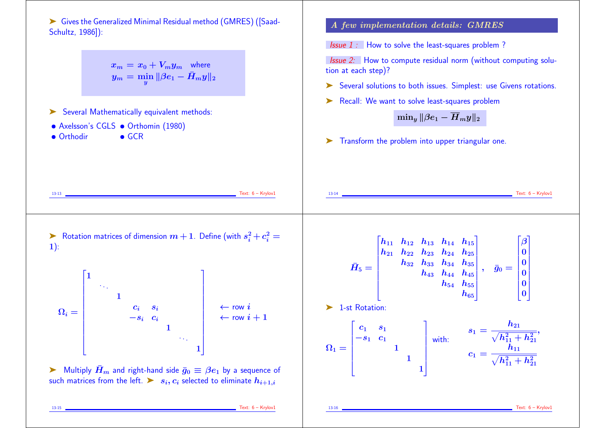